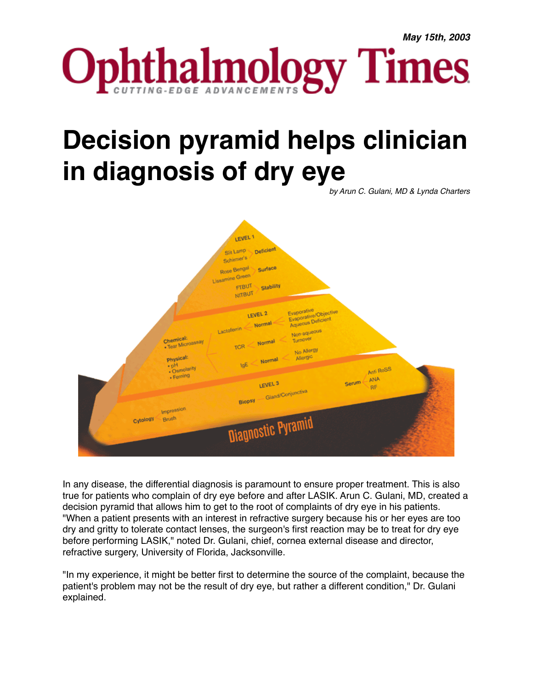

## **Decision pyramid helps clinician in diagnosis of dry eye**

*by Arun C. Gulani, MD & Lynda Charters*



In any disease, the differential diagnosis is paramount to ensure proper treatment. This is also true for patients who complain of dry eye before and after LASIK. Arun C. Gulani, MD, created a decision pyramid that allows him to get to the root of complaints of dry eye in his patients. "When a patient presents with an interest in refractive surgery because his or her eyes are too dry and gritty to tolerate contact lenses, the surgeon's first reaction may be to treat for dry eye before performing LASIK," noted Dr. Gulani, chief, cornea external disease and director, refractive surgery, University of Florida, Jacksonville.

"In my experience, it might be better first to determine the source of the complaint, because the patient's problem may not be the result of dry eye, but rather a different condition," Dr. Gulani explained.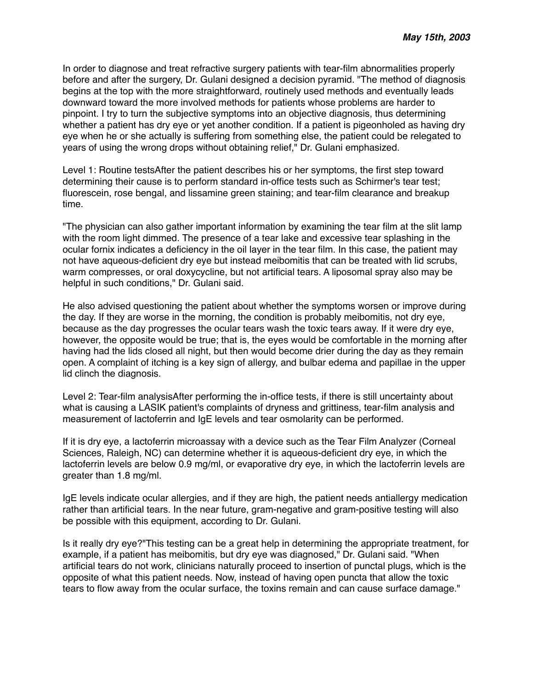In order to diagnose and treat refractive surgery patients with tear-film abnormalities properly before and after the surgery, Dr. Gulani designed a decision pyramid. "The method of diagnosis begins at the top with the more straightforward, routinely used methods and eventually leads downward toward the more involved methods for patients whose problems are harder to pinpoint. I try to turn the subjective symptoms into an objective diagnosis, thus determining whether a patient has dry eye or yet another condition. If a patient is pigeonholed as having dry eye when he or she actually is suffering from something else, the patient could be relegated to years of using the wrong drops without obtaining relief," Dr. Gulani emphasized.

Level 1: Routine testsAfter the patient describes his or her symptoms, the first step toward determining their cause is to perform standard in-office tests such as Schirmer's tear test; fluorescein, rose bengal, and lissamine green staining; and tear-film clearance and breakup time.

"The physician can also gather important information by examining the tear film at the slit lamp with the room light dimmed. The presence of a tear lake and excessive tear splashing in the ocular fornix indicates a deficiency in the oil layer in the tear film. In this case, the patient may not have aqueous-deficient dry eye but instead meibomitis that can be treated with lid scrubs, warm compresses, or oral doxycycline, but not artificial tears. A liposomal spray also may be helpful in such conditions," Dr. Gulani said.

He also advised questioning the patient about whether the symptoms worsen or improve during the day. If they are worse in the morning, the condition is probably meibomitis, not dry eye, because as the day progresses the ocular tears wash the toxic tears away. If it were dry eye, however, the opposite would be true; that is, the eyes would be comfortable in the morning after having had the lids closed all night, but then would become drier during the day as they remain open. A complaint of itching is a key sign of allergy, and bulbar edema and papillae in the upper lid clinch the diagnosis.

Level 2: Tear-film analysisAfter performing the in-office tests, if there is still uncertainty about what is causing a LASIK patient's complaints of dryness and grittiness, tear-film analysis and measurement of lactoferrin and IgE levels and tear osmolarity can be performed.

If it is dry eye, a lactoferrin microassay with a device such as the Tear Film Analyzer (Corneal Sciences, Raleigh, NC) can determine whether it is aqueous-deficient dry eye, in which the lactoferrin levels are below 0.9 mg/ml, or evaporative dry eye, in which the lactoferrin levels are greater than 1.8 mg/ml.

IgE levels indicate ocular allergies, and if they are high, the patient needs antiallergy medication rather than artificial tears. In the near future, gram-negative and gram-positive testing will also be possible with this equipment, according to Dr. Gulani.

Is it really dry eye?"This testing can be a great help in determining the appropriate treatment, for example, if a patient has meibomitis, but dry eye was diagnosed," Dr. Gulani said. "When artificial tears do not work, clinicians naturally proceed to insertion of punctal plugs, which is the opposite of what this patient needs. Now, instead of having open puncta that allow the toxic tears to flow away from the ocular surface, the toxins remain and can cause surface damage."